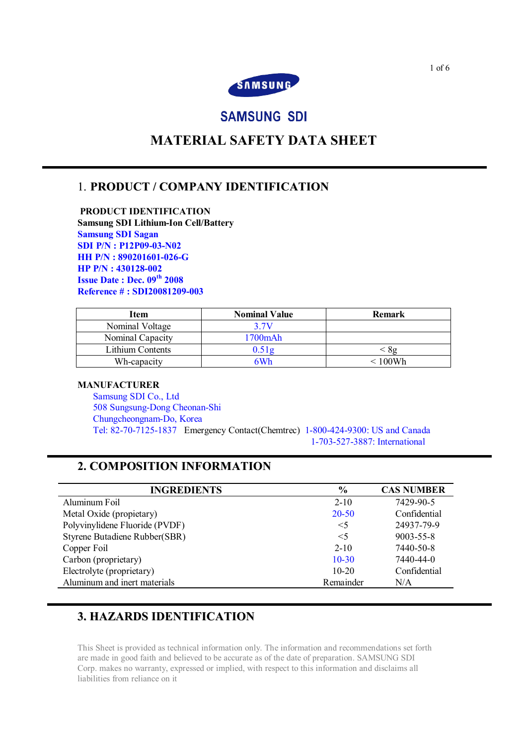

# **SAMSUNG SDI**

# **MATERIAL SAFETY DATA SHEET**

## 1. **PRODUCT / COMPANY IDENTIFICATION**

**PRODUCT IDENTIFICATION Samsung SDI Lithium-Ion Cell/Battery Samsung SDI Sagan SDI P/N : P12P09-03-N02 HH P/N : 890201601-026-G HP P/N : 430128-002 Issue Date : Dec. 09 th 2008 Reference # : SDI20081209-003**

| Item             | <b>Nominal Value</b> | <b>Remark</b> |
|------------------|----------------------|---------------|
| Nominal Voltage  | 3 7V                 |               |
| Nominal Capacity | 1700mAh              |               |
| Lithium Contents | ).51g                | -82           |
| Wh-capacity      | 6Wh                  | $< 100$ Wh    |

### **MANUFACTURER**

Samsung SDI Co., Ltd 508 Sungsung-Dong Cheonan-Shi Chungcheongnam-Do, Korea Tel: 82-70-7125-1837 Emergency Contact(Chemtrec) 1-800-424-9300: US and Canada 1-703-527-3887: International

## **2. COMPOSITION INFORMATION**

| <b>INGREDIENTS</b>             | $\%$      | <b>CAS NUMBER</b> |
|--------------------------------|-----------|-------------------|
| Aluminum Foil                  | $2 - 10$  | 7429-90-5         |
| Metal Oxide (propietary)       | 20-50     | Confidential      |
| Polyvinylidene Fluoride (PVDF) | $\leq$ 5  | 24937-79-9        |
| Styrene Butadiene Rubber(SBR)  | $\leq$ 5  | 9003-55-8         |
| Copper Foil                    | $2 - 10$  | 7440-50-8         |
| Carbon (proprietary)           | $10 - 30$ | 7440-44-0         |
| Electrolyte (proprietary)      | $10-20$   | Confidential      |
| Aluminum and inert materials   | Remainder | N/A               |
|                                |           |                   |

# **3. HAZARDS IDENTIFICATION**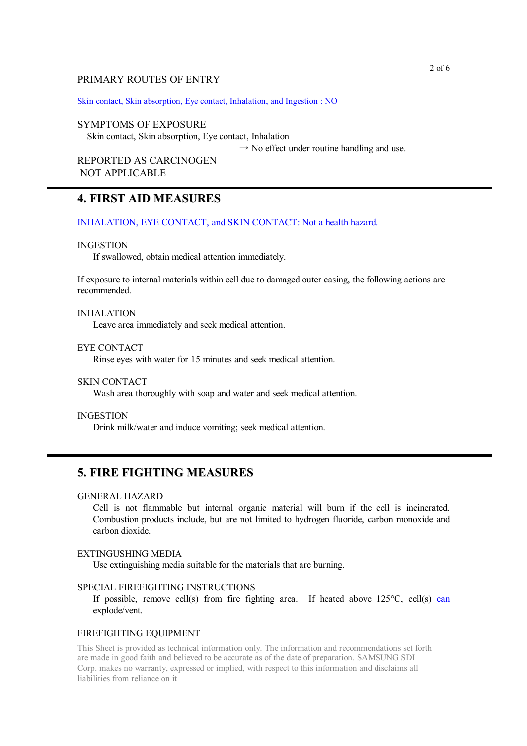### PRIMARY ROUTES OF ENTRY

Skin contact, Skin absorption, Eye contact, Inhalation, and Ingestion : NO

#### SYMPTOMS OF EXPOSURE

Skin contact, Skin absorption, Eye contact, Inhalation

 $\rightarrow$  No effect under routine handling and use.

REPORTED AS CARCINOGEN NOT APPLICABLE

### **4. FIRST AID MEASURES**

INHALATION, EYE CONTACT, and SKIN CONTACT: Not a health hazard.

#### INGESTION

If swallowed, obtain medical attention immediately.

If exposure to internal materials within cell due to damaged outer casing, the following actions are recommended.

#### INHALATION

Leave area immediately and seek medical attention.

### EYE CONTACT

Rinse eyes with water for 15 minutes and seek medical attention.

#### SKIN CONTACT

Wash area thoroughly with soap and water and seek medical attention.

#### INGESTION

Drink milk/water and induce vomiting; seek medical attention.

### **5. FIRE FIGHTING MEASURES**

#### GENERAL HAZARD

Cell is not flammable but internal organic material will burn if the cell is incinerated. Combustion products include, but are not limited to hydrogen fluoride, carbon monoxide and carbon dioxide.

#### EXTINGUSHING MEDIA

Use extinguishing media suitable for the materials that are burning.

### SPECIAL FIREFIGHTING INSTRUCTIONS

If possible, remove cell(s) from fire fighting area. If heated above 125°C, cell(s) can explode/vent.

#### FIREFIGHTING EQUIPMENT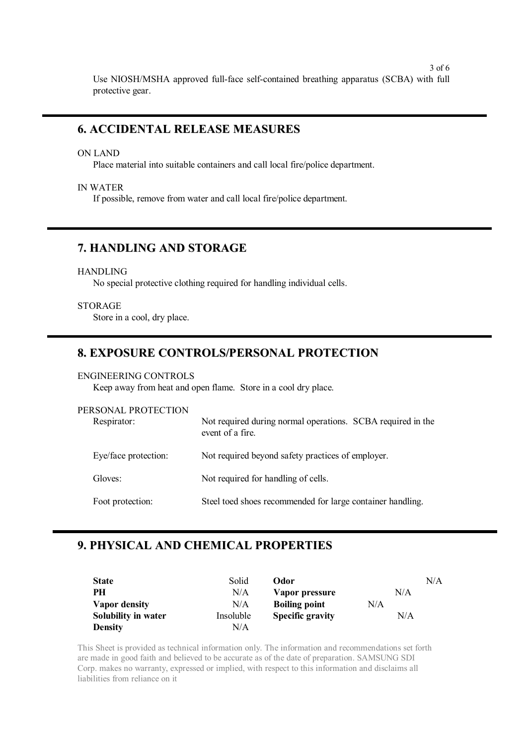3 of 6 Use NIOSH/MSHA approved full-face self-contained breathing apparatus (SCBA) with full protective gear.

### **6. ACCIDENTAL RELEASE MEASURES**

ON LAND

Place material into suitable containers and call local fire/police department.

IN WATER

If possible, remove from water and call local fire/police department.

## **7. HANDLING AND STORAGE**

### HANDLING

No special protective clothing required for handling individual cells.

### **STORAGE**

Store in a cool, dry place.

### **8. EXPOSURE CONTROLS/PERSONAL PROTECTION**

### ENGINEERING CONTROLS

Keep away from heat and open flame. Store in a cool dry place.

| PERSONAL PROTECTION<br>Respirator: | Not required during normal operations. SCBA required in the<br>event of a fire. |
|------------------------------------|---------------------------------------------------------------------------------|
| Eye/face protection:               | Not required beyond safety practices of employer.                               |
| Gloves:                            | Not required for handling of cells.                                             |
| Foot protection:                   | Steel toed shoes recommended for large container handling.                      |

## **9. PHYSICAL AND CHEMICAL PROPERTIES**

| <b>State</b>        | Solid     | Odor                    |     | N/A |
|---------------------|-----------|-------------------------|-----|-----|
| PН                  | N/A       | Vapor pressure          | N/A |     |
| Vapor density       | N/A       | <b>Boiling point</b>    | N/A |     |
| Solubility in water | Insoluble | <b>Specific gravity</b> | N/A |     |
| <b>Density</b>      | N/A       |                         |     |     |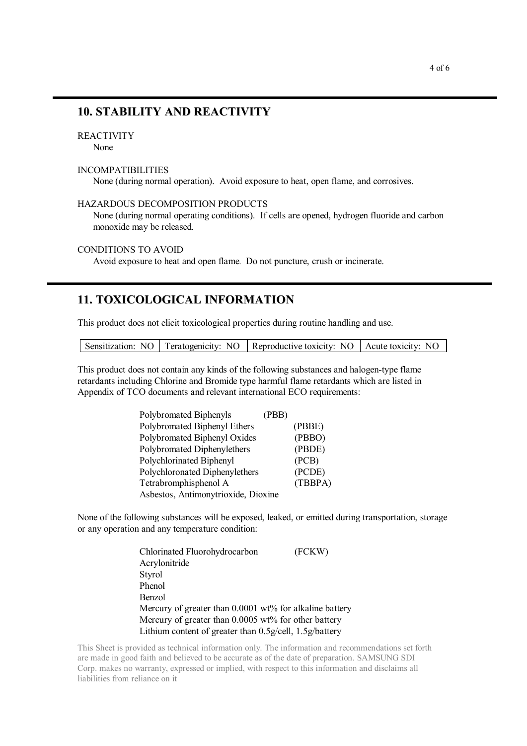### **10. STABILITY AND REACTIVITY**

### REACTIVITY

None

### INCOMPATIBILITIES

None (during normal operation). Avoid exposure to heat, open flame, and corrosives.

### HAZARDOUS DECOMPOSITION PRODUCTS

None (during normal operating conditions). If cells are opened, hydrogen fluoride and carbon monoxide may be released.

### CONDITIONS TO AVOID

Avoid exposure to heat and open flame. Do not puncture, crush or incinerate.

### **11. TOXICOLOGICAL INFORMATION**

This product does not elicit toxicological properties during routine handling and use.

|  | Sensitization: NO Teratogenicity: NO Reproductive toxicity: NO Acute toxicity: NO |  |
|--|-----------------------------------------------------------------------------------|--|
|  |                                                                                   |  |

This product does not contain any kinds of the following substances and halogen-type flame retardants including Chlorine and Bromide type harmful flame retardants which are listed in Appendix of TCO documents and relevant international ECO requirements:

| Polybromated Biphenyls              | (PBB) |         |
|-------------------------------------|-------|---------|
| Polybromated Biphenyl Ethers        |       | (PBBE)  |
| Polybromated Biphenyl Oxides        |       | (PBBO)  |
| Polybromated Diphenylethers         |       | (PBDE)  |
| Polychlorinated Biphenyl            |       | (PCB)   |
| Polychloronated Diphenylethers      |       | (PCDE)  |
| Tetrabromphisphenol A               |       | (TBBPA) |
| Asbestos, Antimonytrioxide, Dioxine |       |         |

None of the following substances will be exposed, leaked, or emitted during transportation, storage or any operation and any temperature condition:

| Chlorinated Fluorohydrocarbon                           | (FCKW) |
|---------------------------------------------------------|--------|
| Acrylonitride                                           |        |
| Styrol                                                  |        |
| Phenol                                                  |        |
| Benzol                                                  |        |
| Mercury of greater than 0.0001 wt% for alkaline battery |        |
| Mercury of greater than $0.0005$ wt% for other battery  |        |
| Lithium content of greater than 0.5g/cell, 1.5g/battery |        |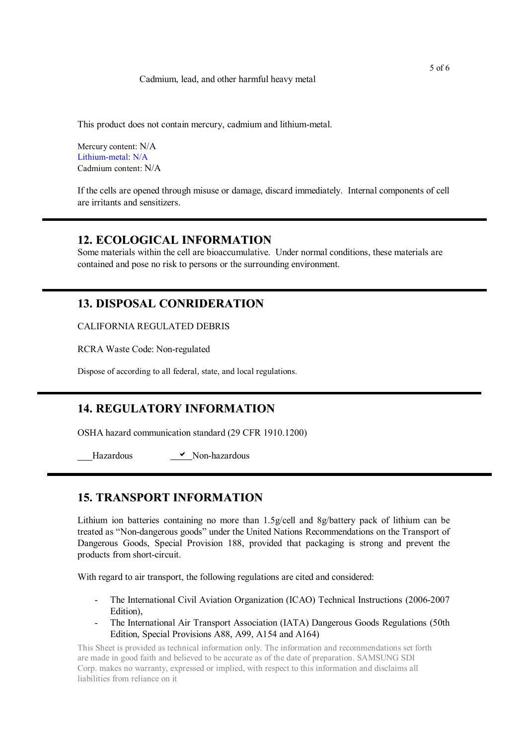### Cadmium, lead, and other harmful heavy metal

This product does not contain mercury, cadmium and lithium-metal.

Mercury content: N/A Lithium-metal: N/A Cadmium content: N/A

If the cells are opened through misuse or damage, discard immediately. Internal components of cell are irritants and sensitizers.

### **12. ECOLOGICAL INFORMATION**

Some materials within the cell are bioaccumulative. Under normal conditions, these materials are contained and pose no risk to persons or the surrounding environment.

## **13. DISPOSAL CONRIDERATION**

CALIFORNIA REGULATED DEBRIS

RCRA Waste Code: Non-regulated

Dispose of according to all federal, state, and local regulations.

## **14. REGULATORY INFORMATION**

OSHA hazard communication standard (29 CFR 1910.1200)

Hazardous **V** Non-hazardous

## **15. TRANSPORT INFORMATION**

Lithium ion batteries containing no more than 1.5g/cell and 8g/battery pack of lithium can be treated as "Non-dangerous goods" under the United Nations Recommendations on the Transport of Dangerous Goods, Special Provision 188, provided that packaging is strong and prevent the products from short-circuit.

With regard to air transport, the following regulations are cited and considered:

- The International Civil Aviation Organization (ICAO) Technical Instructions (2006-2007 Edition),
- The International Air Transport Association (IATA) Dangerous Goods Regulations (50th Edition, Special Provisions A88, A99, A154 and A164)